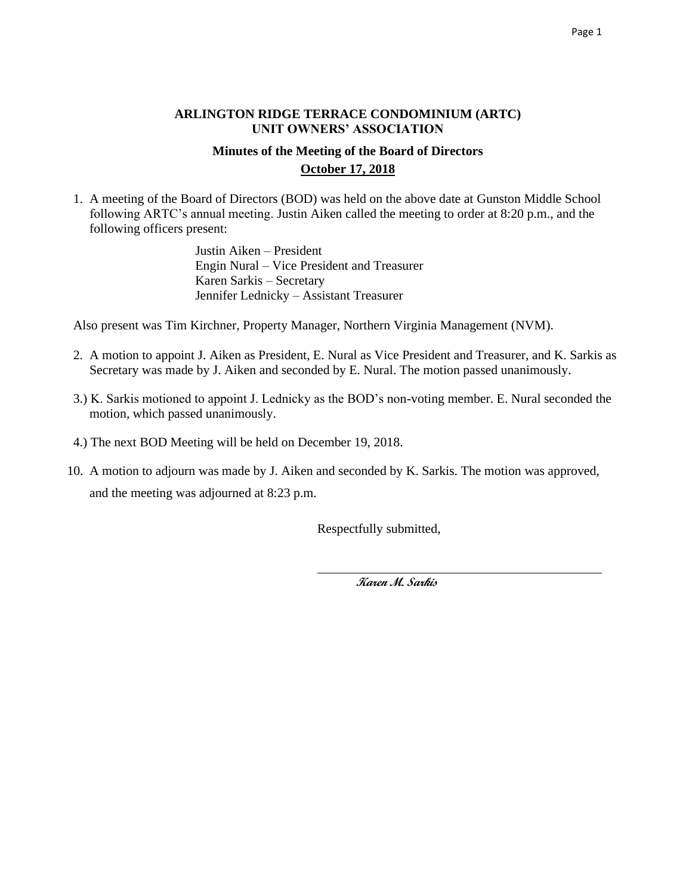## **ARLINGTON RIDGE TERRACE CONDOMINIUM (ARTC) UNIT OWNERS' ASSOCIATION**

## **Minutes of the Meeting of the Board of Directors October 17, 2018**

1. A meeting of the Board of Directors (BOD) was held on the above date at Gunston Middle School following ARTC's annual meeting. Justin Aiken called the meeting to order at 8:20 p.m., and the following officers present:

> Justin Aiken – President Engin Nural – Vice President and Treasurer Karen Sarkis – Secretary Jennifer Lednicky – Assistant Treasurer

Also present was Tim Kirchner, Property Manager, Northern Virginia Management (NVM).

- 2. A motion to appoint J. Aiken as President, E. Nural as Vice President and Treasurer, and K. Sarkis as Secretary was made by J. Aiken and seconded by E. Nural. The motion passed unanimously.
- 3.) K. Sarkis motioned to appoint J. Lednicky as the BOD's non-voting member. E. Nural seconded the motion, which passed unanimously.
- 4.) The next BOD Meeting will be held on December 19, 2018.
- 10. A motion to adjourn was made by J. Aiken and seconded by K. Sarkis. The motion was approved, and the meeting was adjourned at 8:23 p.m.

Respectfully submitted,

 **Karen M. Sarkis**